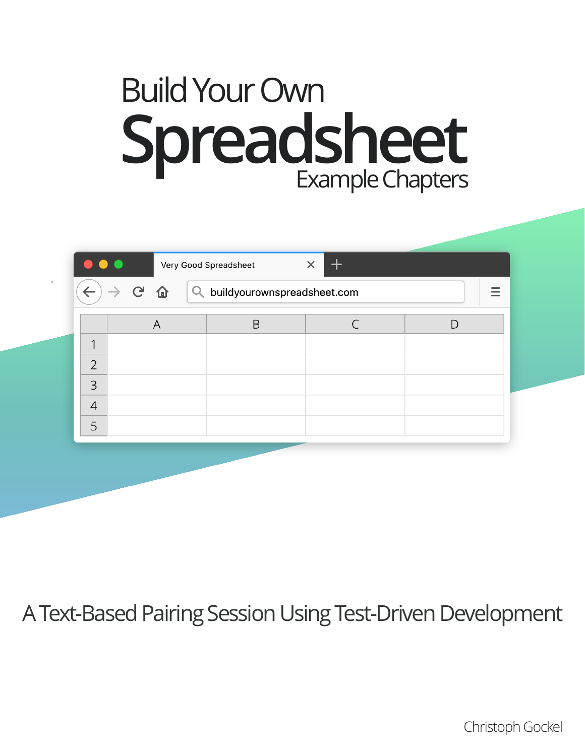# Build Your Own **Spreadsheet** Example Chapters

|                                                         |   | Very Good Spreadsheet | $\div$<br>$\times$ |   |  |
|---------------------------------------------------------|---|-----------------------|--------------------|---|--|
| $\rightarrow$ G $\Omega$<br>buildyourownspreadsheet.com |   |                       |                    |   |  |
|                                                         | A | B                     |                    | D |  |
| 1                                                       |   |                       |                    |   |  |
| $\overline{2}$                                          |   |                       |                    |   |  |
| 3                                                       |   |                       |                    |   |  |
| $\overline{4}$                                          |   |                       |                    |   |  |
| 5                                                       |   |                       |                    |   |  |
|                                                         |   |                       |                    |   |  |

# A Text-Based Pairing Session Using Test-Driven Development

Christoph Gockel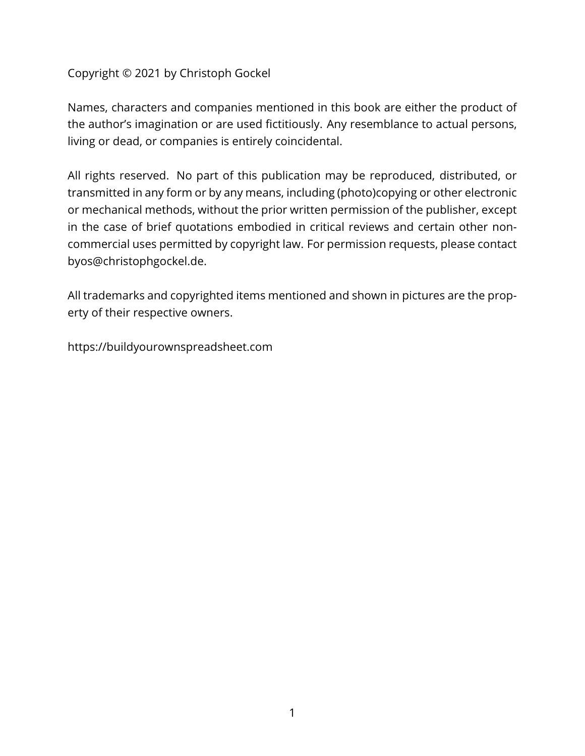#### Copyright © 2021 by Christoph Gockel

Names, characters and companies mentioned in this book are either the product of the author's imagination or are used fictitiously. Any resemblance to actual persons, living or dead, or companies is entirely coincidental.

All rights reserved. No part of this publication may be reproduced, distributed, or transmitted in any form or by any means, including (photo)copying or other electronic or mechanical methods, without the prior written permission of the publisher, except in the case of brief quotations embodied in critical reviews and certain other noncommercial uses permitted by copyright law. For permission requests, please contact byos@christophgockel.de.

All trademarks and copyrighted items mentioned and shown in pictures are the property of their respective owners.

https://buildyourownspreadsheet.com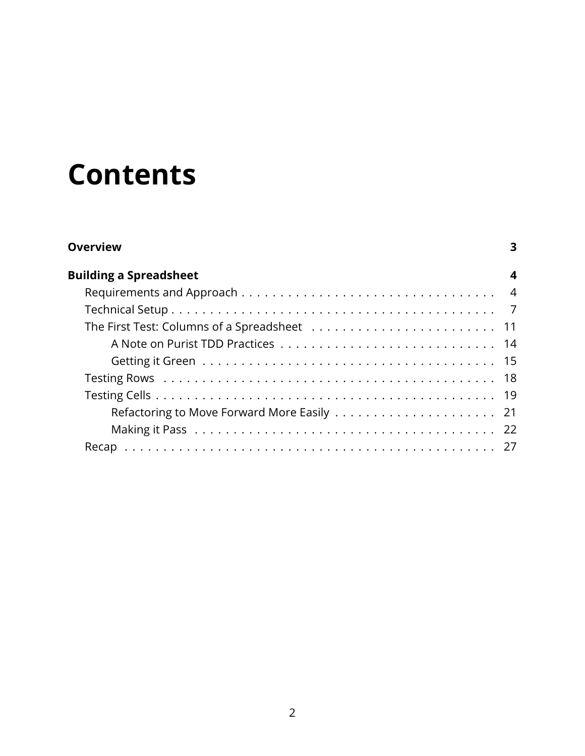# **Contents**

| <b>Overview</b>               | 3 |
|-------------------------------|---|
| <b>Building a Spreadsheet</b> | 4 |
|                               |   |
|                               |   |
|                               |   |
|                               |   |
|                               |   |
|                               |   |
|                               |   |
|                               |   |
|                               |   |
|                               |   |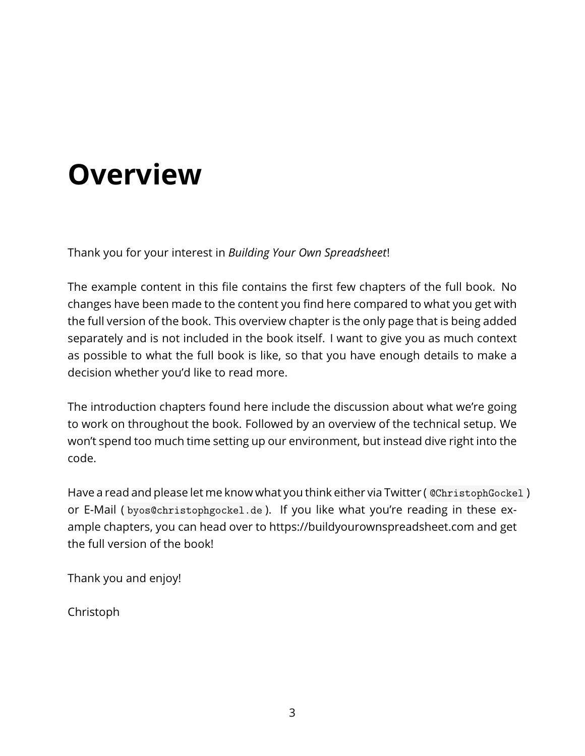# <span id="page-3-0"></span>**Overview**

Thank you for your interest in *Building Your Own Spreadsheet*!

The example content in this file contains the first few chapters of the full book. No changes have been made to the content you find here compared to what you get with the full version of the book. This overview chapter is the only page that is being added separately and is not included in the book itself. I want to give you as much context as possible to what the full book is like, so that you have enough details to make a decision whether you'd like to read more.

The introduction chapters found here include the discussion about what we're going to work on throughout the book. Followed by an overview of the technical setup. We won't spend too much time setting up our environment, but instead dive right into the code.

Have a read and please let me know what you think either via Twitter ( @ChristophGockel ) or E-Mail ( byos@christophgockel.de ). If you like what you're reading in these example chapters, you can head over to https://buildyourownspreadsheet.com and get the full version of the book!

Thank you and enjoy!

Christoph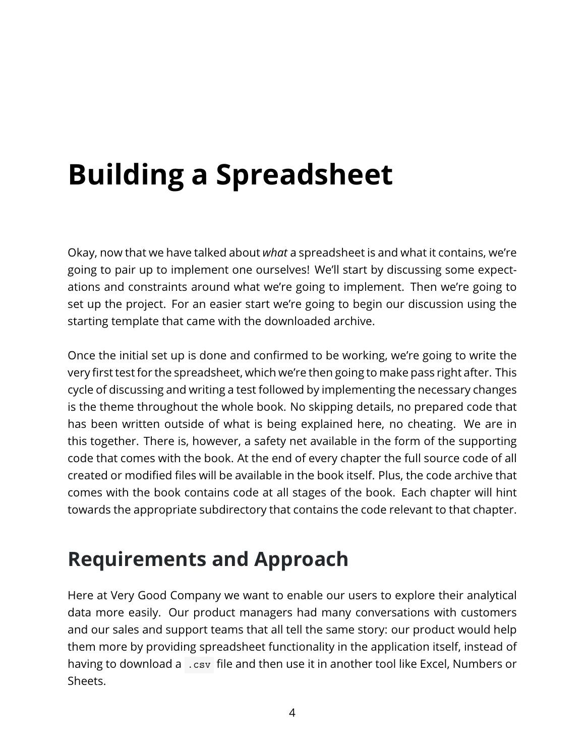# <span id="page-4-0"></span>**Building a Spreadsheet**

Okay, now that we have talked about *what* a spreadsheet is and what it contains, we're going to pair up to implement one ourselves! We'll start by discussing some expectations and constraints around what we're going to implement. Then we're going to set up the project. For an easier start we're going to begin our discussion using the starting template that came with the downloaded archive.

Once the initial set up is done and confirmed to be working, we're going to write the very first test for the spreadsheet, which we're then going to make pass right after. This cycle of discussing and writing a test followed by implementing the necessary changes is the theme throughout the whole book. No skipping details, no prepared code that has been written outside of what is being explained here, no cheating. We are in this together. There is, however, a safety net available in the form of the supporting code that comes with the book. At the end of every chapter the full source code of all created or modified files will be available in the book itself. Plus, the code archive that comes with the book contains code at all stages of the book. Each chapter will hint towards the appropriate subdirectory that contains the code relevant to that chapter.

# **Requirements and Approach**

Here at Very Good Company we want to enable our users to explore their analytical data more easily. Our product managers had many conversations with customers and our sales and support teams that all tell the same story: our product would help them more by providing spreadsheet functionality in the application itself, instead of having to download a .csv file and then use it in another tool like Excel, Numbers or Sheets.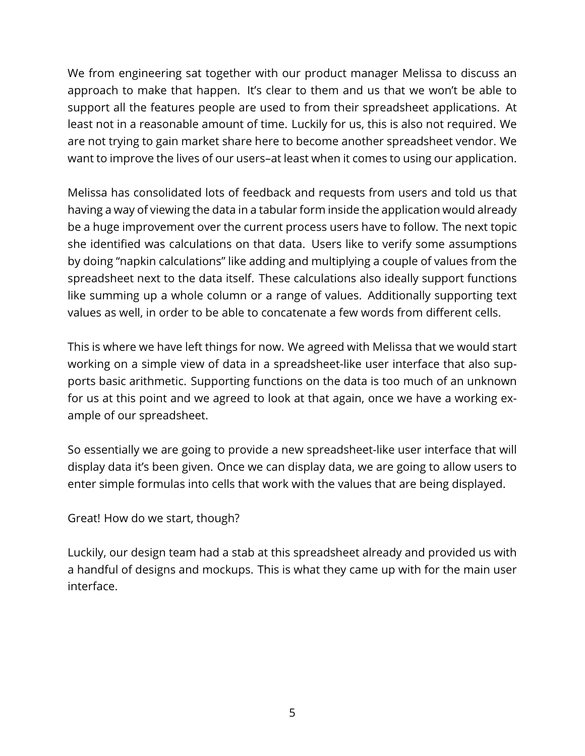We from engineering sat together with our product manager Melissa to discuss an approach to make that happen. It's clear to them and us that we won't be able to support all the features people are used to from their spreadsheet applications. At least not in a reasonable amount of time. Luckily for us, this is also not required. We are not trying to gain market share here to become another spreadsheet vendor. We want to improve the lives of our users–at least when it comes to using our application.

Melissa has consolidated lots of feedback and requests from users and told us that having a way of viewing the data in a tabular form inside the application would already be a huge improvement over the current process users have to follow. The next topic she identified was calculations on that data. Users like to verify some assumptions by doing "napkin calculations" like adding and multiplying a couple of values from the spreadsheet next to the data itself. These calculations also ideally support functions like summing up a whole column or a range of values. Additionally supporting text values as well, in order to be able to concatenate a few words from different cells.

This is where we have left things for now. We agreed with Melissa that we would start working on a simple view of data in a spreadsheet-like user interface that also supports basic arithmetic. Supporting functions on the data is too much of an unknown for us at this point and we agreed to look at that again, once we have a working example of our spreadsheet.

So essentially we are going to provide a new spreadsheet-like user interface that will display data it's been given. Once we can display data, we are going to allow users to enter simple formulas into cells that work with the values that are being displayed.

Great! How do we start, though?

Luckily, our design team had a stab at this spreadsheet already and provided us with a handful of designs and mockups. This is what they came up with for the main user interface.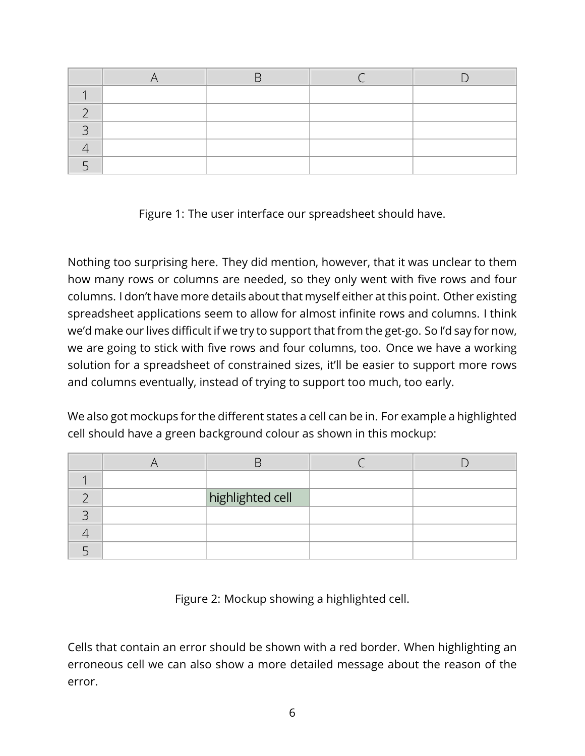Figure 1: The user interface our spreadsheet should have.

Nothing too surprising here. They did mention, however, that it was unclear to them how many rows or columns are needed, so they only went with five rows and four columns. I don't have more details about that myself either at this point. Other existing spreadsheet applications seem to allow for almost infinite rows and columns. I think we'd make our lives difficult if we try to support that from the get-go. So I'd say for now, we are going to stick with five rows and four columns, too. Once we have a working solution for a spreadsheet of constrained sizes, it'll be easier to support more rows and columns eventually, instead of trying to support too much, too early.

We also got mockups for the different states a cell can be in. For example a highlighted cell should have a green background colour as shown in this mockup:

|  | highlighted cell |  |
|--|------------------|--|
|  |                  |  |
|  |                  |  |
|  |                  |  |

Figure 2: Mockup showing a highlighted cell.

Cells that contain an error should be shown with a red border. When highlighting an erroneous cell we can also show a more detailed message about the reason of the error.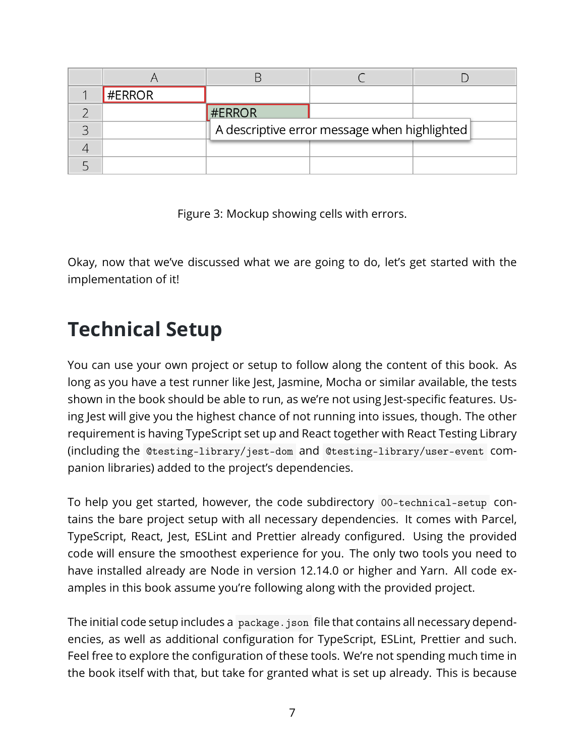| #ERROR |        |                                              |  |
|--------|--------|----------------------------------------------|--|
|        | #ERROR |                                              |  |
|        |        | A descriptive error message when highlighted |  |
|        |        |                                              |  |
|        |        |                                              |  |

<span id="page-7-0"></span>Figure 3: Mockup showing cells with errors.

Okay, now that we've discussed what we are going to do, let's get started with the implementation of it!

# **Technical Setup**

You can use your own project or setup to follow along the content of this book. As long as you have a test runner like Jest, Jasmine, Mocha or similar available, the tests shown in the book should be able to run, as we're not using Jest-specific features. Using Jest will give you the highest chance of not running into issues, though. The other requirement is having TypeScript set up and React together with React Testing Library (including the @testing-library/jest-dom and @testing-library/user-event companion libraries) added to the project's dependencies.

To help you get started, however, the code subdirectory 00-technical-setup contains the bare project setup with all necessary dependencies. It comes with Parcel, TypeScript, React, Jest, ESLint and Prettier already configured. Using the provided code will ensure the smoothest experience for you. The only two tools you need to have installed already are Node in version 12.14.0 or higher and Yarn. All code examples in this book assume you're following along with the provided project.

The initial code setup includes a package. json file that contains all necessary dependencies, as well as additional configuration for TypeScript, ESLint, Prettier and such. Feel free to explore the configuration of these tools. We're not spending much time in the book itself with that, but take for granted what is set up already. This is because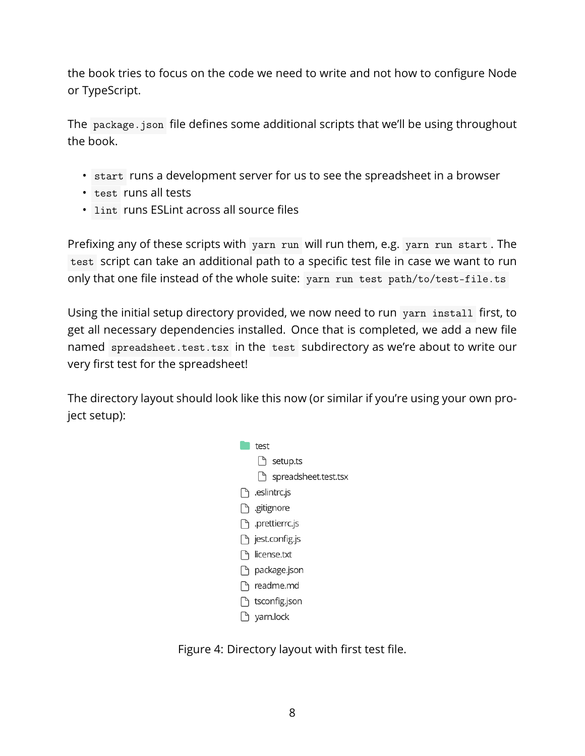the book tries to focus on the code we need to write and not how to configure Node or TypeScript.

The package.json file defines some additional scripts that we'll be using throughout the book.

- start runs a development server for us to see the spreadsheet in a browser
- test runs all tests
- lint runs ESLint across all source files

Prefixing any of these scripts with yarn run will run them, e.g. yarn run start. The test script can take an additional path to a specific test file in case we want to run only that one file instead of the whole suite: yarn run test path/to/test-file.ts

Using the initial setup directory provided, we now need to run yarn install first, to get all necessary dependencies installed. Once that is completed, we add a new file named spreadsheet.test.tsx in the test subdirectory as we're about to write our very first test for the spreadsheet!

The directory layout should look like this now (or similar if you're using your own project setup):



Figure 4: Directory layout with first test file.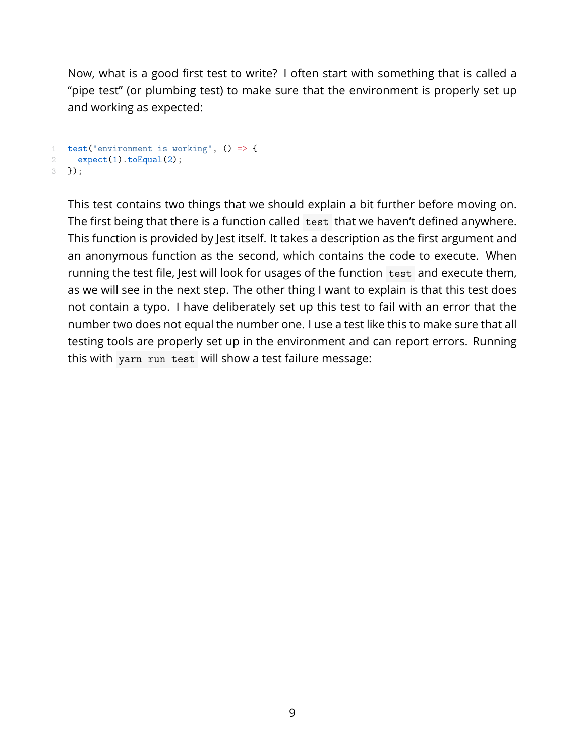Now, what is a good first test to write? I often start with something that is called a "pipe test" (or plumbing test) to make sure that the environment is properly set up and working as expected:

```
1 test("environment is working", () \Rightarrow {
2 expect(1).toEqual(2);
3 });
```
This test contains two things that we should explain a bit further before moving on. The first being that there is a function called test that we haven't defined anywhere. This function is provided by Jest itself. It takes a description as the first argument and an anonymous function as the second, which contains the code to execute. When running the test file, Jest will look for usages of the function test and execute them, as we will see in the next step. The other thing I want to explain is that this test does not contain a typo. I have deliberately set up this test to fail with an error that the number two does not equal the number one. I use a test like this to make sure that all testing tools are properly set up in the environment and can report errors. Running this with yarn run test will show a test failure message: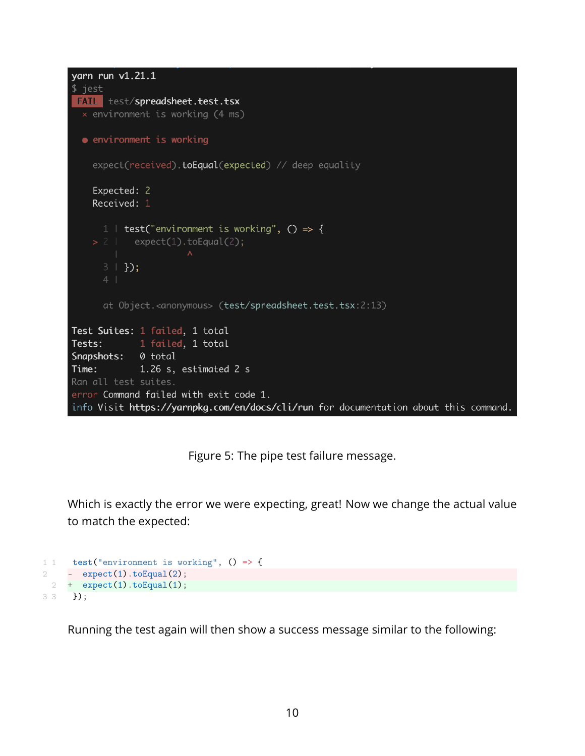```
varn run v1.21.1$ jest
 FAIL test/spreadsheet.test.tsx
 \times environment is working (4 ms)
  • environment is working
    expect(received).toEqual(expected) // deep equality
    Expected: 2
    Received: 1
     1 | test("environment is working", () \Rightarrow {
    > 2 | expect(1).toEqual(2);
      3 + 3;
      at Object.<anonymous> (test/spreadsheet.test.tsx:2:13)
Test Suites: 1 failed, 1 total
Tests:
         1 failed, 1 total
Snapshots: 0 total
Time:
             1.26 s, estimated 2 s
Ran all test suites.
error Command failed with exit code 1.
info Visit https://yarnpkg.com/en/docs/cli/run for documentation about this command.
```
Figure 5: The pipe test failure message.

Which is exactly the error we were expecting, great! Now we change the actual value to match the expected:

```
1 1 test("environment is working", () => {
2 - expect(1).to Equal(2);2 + expect(1).to Equal(1);
3 \, 3 \, 3 \};
```
Running the test again will then show a success message similar to the following: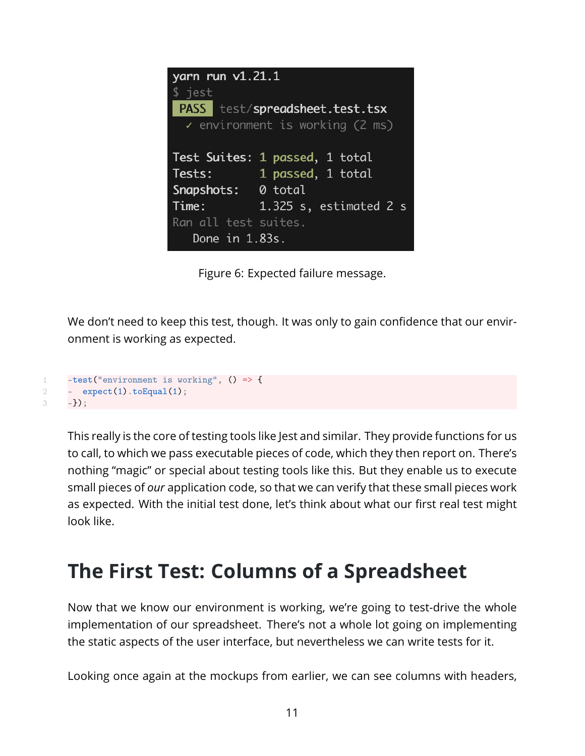| yarn run $v1.21.1$   |                                            |
|----------------------|--------------------------------------------|
| \$ jest              |                                            |
|                      | <b>PASS</b> test/spreadsheet.test.tsx      |
|                      | $\checkmark$ environment is working (2 ms) |
|                      |                                            |
|                      | Test Suites: 1 passed, 1 total             |
| Tests:               | 1 passed, 1 total                          |
| Snapshots: 0 total   |                                            |
| Time:                | 1.325 s, estimated 2 s                     |
| Ran all test suites. |                                            |
| Done $in$ 1.83s.     |                                            |

<span id="page-11-0"></span>Figure 6: Expected failure message.

We don't need to keep this test, though. It was only to gain confidence that our environment is working as expected.

```
1 -test("environment is working", () => {
2 - \epsilon expect(1).to Equal(1);
3 - - } );
```
This really is the core of testing tools like Jest and similar. They provide functions for us to call, to which we pass executable pieces of code, which they then report on. There's nothing "magic" or special about testing tools like this. But they enable us to execute small pieces of *our* application code, so that we can verify that these small pieces work as expected. With the initial test done, let's think about what our first real test might look like.

# **The First Test: Columns of a Spreadsheet**

Now that we know our environment is working, we're going to test-drive the whole implementation of our spreadsheet. There's not a whole lot going on implementing the static aspects of the user interface, but nevertheless we can write tests for it.

Looking once again at the mockups from earlier, we can see columns with headers,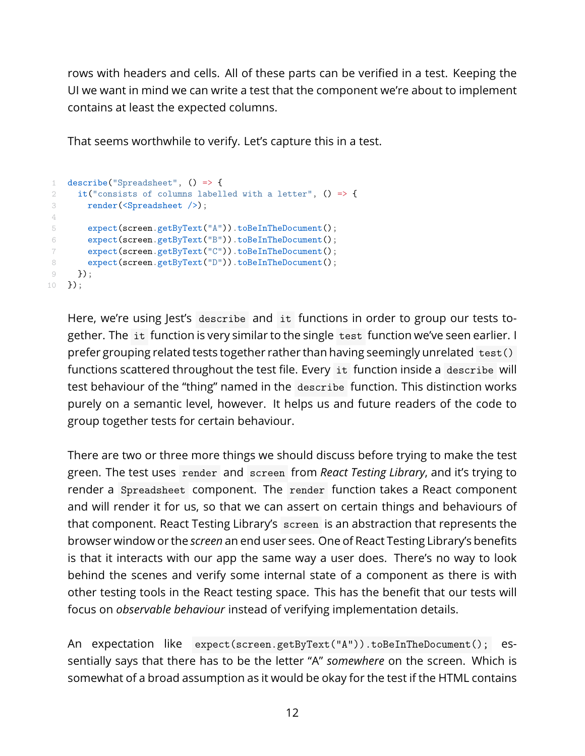rows with headers and cells. All of these parts can be verified in a test. Keeping the UI we want in mind we can write a test that the component we're about to implement contains at least the expected columns.

That seems worthwhile to verify. Let's capture this in a test.

```
1 describe("Spreadsheet", () => {
2 it("consists of columns labelled with a letter", () => {
3 render(<Spreadsheet />);
4
5 expect(screen.getByText("A")).toBeInTheDocument();
6 expect(screen.getByText("B")).toBeInTheDocument();
7 expect(screen.getByText("C")).toBeInTheDocument();
8 expect(screen.getByText("D")).toBeInTheDocument();
9 });
10 });
```
Here, we're using Jest's describe and it functions in order to group our tests together. The it function is very similar to the single test function we've seen earlier. I prefer grouping related tests together rather than having seemingly unrelated test() functions scattered throughout the test file. Every it function inside a describe will test behaviour of the "thing" named in the describe function. This distinction works purely on a semantic level, however. It helps us and future readers of the code to group together tests for certain behaviour.

There are two or three more things we should discuss before trying to make the test green. The test uses render and screen from *React Testing Library*, and it's trying to render a Spreadsheet component. The render function takes a React component and will render it for us, so that we can assert on certain things and behaviours of that component. React Testing Library's screen is an abstraction that represents the browser window or the *screen* an end user sees. One of React Testing Library's benefits is that it interacts with our app the same way a user does. There's no way to look behind the scenes and verify some internal state of a component as there is with other testing tools in the React testing space. This has the benefit that our tests will focus on *observable behaviour* instead of verifying implementation details.

An expectation like expect(screen.getByText("A")).toBeInTheDocument(); essentially says that there has to be the letter "A" *somewhere* on the screen. Which is somewhat of a broad assumption as it would be okay for the test if the HTML contains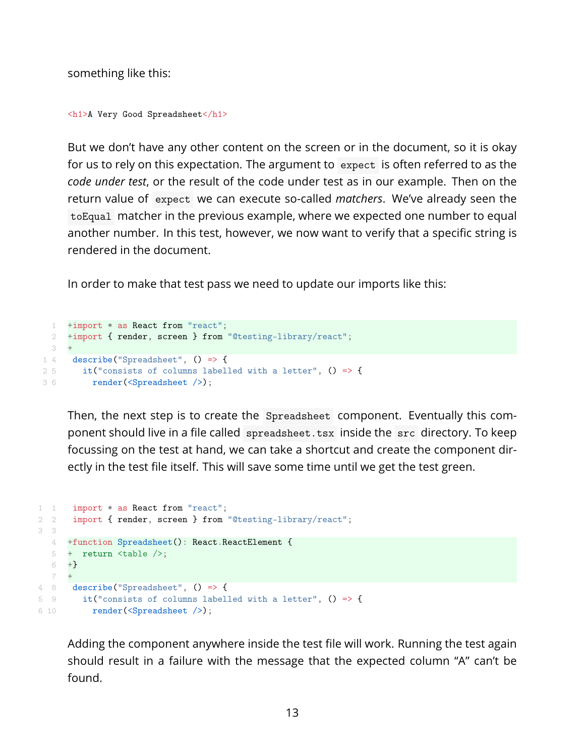something like this:

```
<h1>A Very Good Spreadsheet</h1>
```
But we don't have any other content on the screen or in the document, so it is okay for us to rely on this expectation. The argument to expect is often referred to as the *code under test*, or the result of the code under test as in our example. Then on the return value of expect we can execute so-called *matchers*. We've already seen the toEqual matcher in the previous example, where we expected one number to equal another number. In this test, however, we now want to verify that a specific string is rendered in the document.

In order to make that test pass we need to update our imports like this:

```
1 +import * as React from "react";
 2 +import { render, screen } from "@testing-library/react";
 3 +
1 4 describe("Spreadsheet", () => {
25 it("consists of columns labelled with a letter", () => {
3 6 render(<Spreadsheet />);
```
Then, the next step is to create the Spreadsheet component. Eventually this component should live in a file called spreadsheet.tsx inside the src directory. To keep focussing on the test at hand, we can take a shortcut and create the component directly in the test file itself. This will save some time until we get the test green.

```
1 1 import * as React from "react";
2 2 import { render, screen } from "@testing-library/react";
3 3
  4 +function Spreadsheet(): React.ReactElement {
  5 + return <table />;
  6 +7 +4 8 describe("Spreadsheet", () => {
5 9 it("consists of columns labelled with a letter", () => {
6 10 render(<Spreadsheet />);
```
Adding the component anywhere inside the test file will work. Running the test again should result in a failure with the message that the expected column "A" can't be found.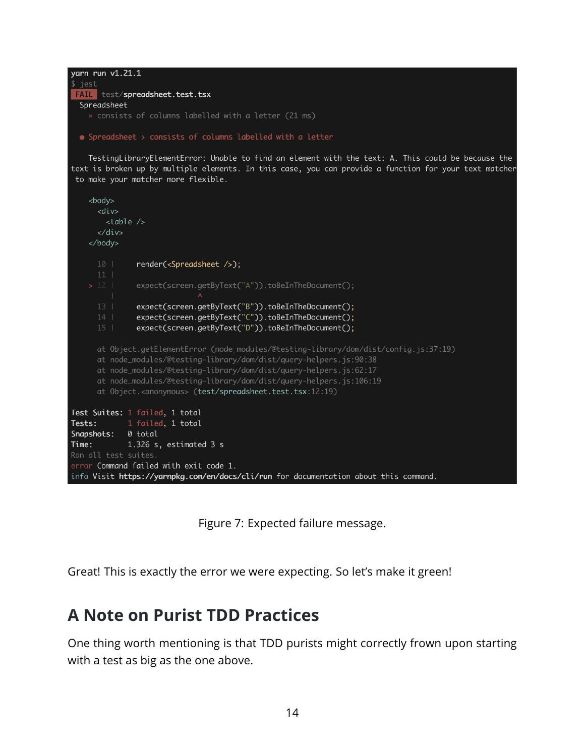```
yarn run v1.21.1
$ jest
FAIL test/spreadsheet.test.tsx
 Spreadsheet
```
• Spreadsheet > consists of columns labelled with a letter

TestingLibraryElementError: Unable to find an element with the text: A. This could be because the text is broken up by multiple elements. In this case, you can provide a function for your text matcher to make your matcher more flexible.

```
<body>
      <div>
        <br>\n<b>table</b> <br/> <br/> <br/> <br/> <br/> <br/>\langle/div\rangle</body>
               render(<Spreadsheet />);
              expect(screen.getByText("A")).toBeInTheDocument();
               expect(screen.getByText("B")).toBeInTheDocument();
               expect(screen.getByText("C")).toBeInTheDocument();
                expect(screen.getByText("D")).toBeInTheDocument();
      at Object.getElementError (node_modules/@testing-library/dom/dist/config.js:37:19)
      at node_modules/@testing-library/dom/dist/query-helpers.js:90:38
      at node_modules/@testing-library/dom/dist/query-helpers.js:62:17
      at node_modules/@testing-library/dom/dist/query-helpers.js:106:19
      at Object.<anonymous> (test/spreadsheet.test.tsx:12:19)
Test Suites: 1 failed, 1 total
Tests: 1 failed, 1 total
Snapshots: 0 total
Time:
            1.326 s, estimated 3 s
error Command failed with exit code 1.
info Visit https://yarnpkg.com/en/docs/cli/run for documentation about this command.
```
<span id="page-14-0"></span>Figure 7: Expected failure message.

Great! This is exactly the error we were expecting. So let's make it green!

#### **A Note on Purist TDD Practices**

One thing worth mentioning is that TDD purists might correctly frown upon starting with a test as big as the one above.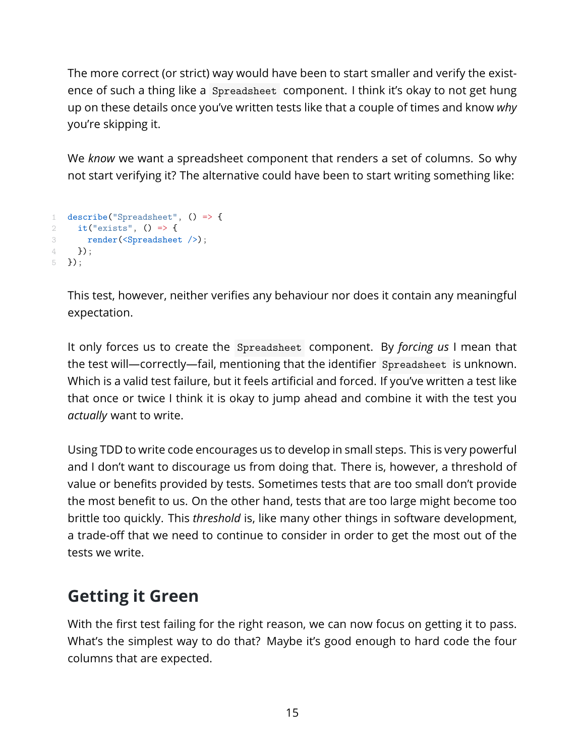The more correct (or strict) way would have been to start smaller and verify the existence of such a thing like a Spreadsheet component. I think it's okay to not get hung up on these details once you've written tests like that a couple of times and know *why* you're skipping it.

We *know* we want a spreadsheet component that renders a set of columns. So why not start verifying it? The alternative could have been to start writing something like:

```
1 describe("Spreadsheet", () => {
2 it ("exists", () \Rightarrow {
3 render(<Spreadsheet />);
4 }) ;
5 });
```
This test, however, neither verifies any behaviour nor does it contain any meaningful expectation.

It only forces us to create the Spreadsheet component. By *forcing us* I mean that the test will—correctly—fail, mentioning that the identifier Spreadsheet is unknown. Which is a valid test failure, but it feels artificial and forced. If you've written a test like that once or twice I think it is okay to jump ahead and combine it with the test you *actually* want to write.

Using TDD to write code encourages us to develop in small steps. This is very powerful and I don't want to discourage us from doing that. There is, however, a threshold of value or benefits provided by tests. Sometimes tests that are too small don't provide the most benefit to us. On the other hand, tests that are too large might become too brittle too quickly. This *threshold* is, like many other things in software development, a trade-off that we need to continue to consider in order to get the most out of the tests we write.

#### **Getting it Green**

With the first test failing for the right reason, we can now focus on getting it to pass. What's the simplest way to do that? Maybe it's good enough to hard code the four columns that are expected.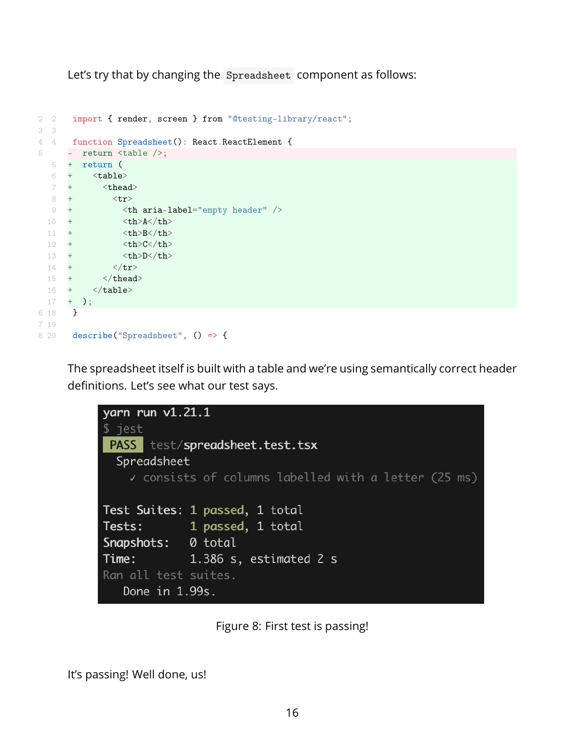Let's try that by changing the Spreadsheet component as follows:

```
2 2 import { render, screen } from "@testing-library/react";
3 3
4 4 function Spreadsheet(): React.ReactElement {
5 - return <table />;
  5 + return (
   6 + <b>table</b>7 + <thead>
   8 + \langle \text{tr} \rangle9 + <th aria-label="empty header" />
  10 + <br><math>\langle \text{th}\rangle</math>A<math>\langle \text{th}\rangle</math>11 + <br><b><th>-B</b></b><b><math>/th></math>12 + <th>C</th>
  13 + <th>D</th>
  13 + \sqrt{tr}<br>14 + \sqrt{tr}<br>15 + \sqrt{t}\langle /thead>
  16 + \langle /table \rangle17 + );
6 18 }
7 19
```
The spreadsheet itself is built with a table and we're using semantically correct header definitions. Let's see what our test says.



<span id="page-16-0"></span>Figure 8: First test is passing!

It's passing! Well done, us!

8 20 describe("Spreadsheet", () => {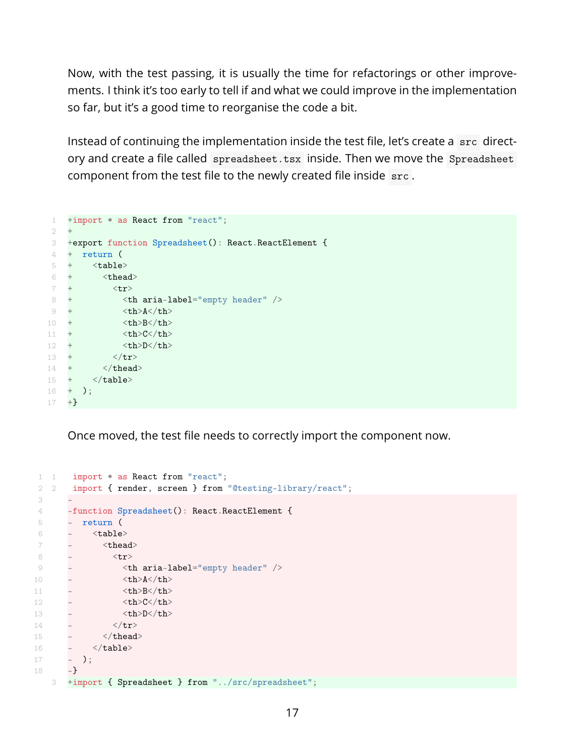Now, with the test passing, it is usually the time for refactorings or other improvements. I think it's too early to tell if and what we could improve in the implementation so far, but it's a good time to reorganise the code a bit.

Instead of continuing the implementation inside the test file, let's create a  $\,$  src directory and create a file called spreadsheet.tsx inside. Then we move the Spreadsheet component from the test file to the newly created file inside src.

```
1 +import * as React from "react";
 2 +
 3 +export function Spreadsheet(): React.ReactElement {
 4 + return (
5 + \langle \text{table} \rangle6 + <thead>
 7 + \left( \text{tr} \right)8 + <th aria-label="empty header" />
9 + <br><math>\frac{\text{th}>A}{\text{th}}>10 + <th>B</th>
11 + <th>C</th>
12 + <th>D</th>
13 + \langle/tr>
14 + \langle / \text{thead} \rangle15 + \langle \text{table} \rangle16 + );
17 +
```
Once moved, the test file needs to correctly import the component now.

```
1 1 import * as React from "react";
 2 2 import { render, screen } from "@testing-library/react";
 3 -
 4 -function Spreadsheet(): React.ReactElement {
5 - return (6 - <sub>table></sub></sub>
7 - \ltthead>
8 - \langle tr \rangle9 - <th aria-label="empty header" />
10 - <br>\n<math>\frac{\text{th}>A<\text{th}>}{\text{th}>B}</math>11 - \langle th \rangle B \langle /th \rangle12 - <th>C</th>
13 - <th>D</th>
13 - \langle /tr \rangle15 - \langle /thead>
16 - \langle/table>
17 - );
18 - -3 +import { Spreadsheet } from "../src/spreadsheet";
```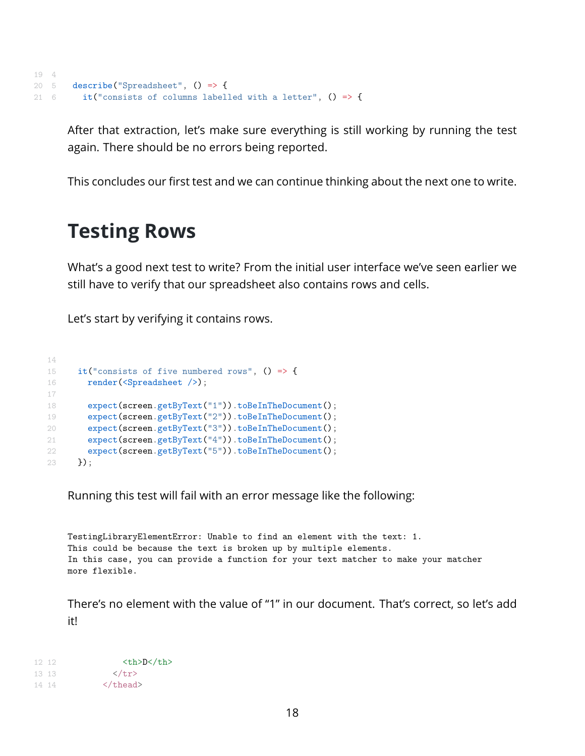```
19 4
20 5 describe("Spreadsheet", () => {
21 6 it("consists of columns labelled with a letter", () \Rightarrow {
```
After that extraction, let's make sure everything is still working by running the test again. There should be no errors being reported.

This concludes our first test and we can continue thinking about the next one to write.

### **Testing Rows**

What's a good next test to write? From the initial user interface we've seen earlier we still have to verify that our spreadsheet also contains rows and cells.

Let's start by verifying it contains rows.

```
14
15 it ("consists of five numbered rows", () \Rightarrow {
16 render(<Spreadsheet />);
17
18 expect(screen.getByText("1")).toBeInTheDocument();
19 expect(screen.getByText("2")).toBeInTheDocument();
20 expect(screen.getByText("3")).toBeInTheDocument();
21 expect(screen.getByText("4")).toBeInTheDocument();
22 expect(screen.getByText("5")).toBeInTheDocument();<br>23 1):
     3);
```
Running this test will fail with an error message like the following:

TestingLibraryElementError: Unable to find an element with the text: 1. This could be because the text is broken up by multiple elements. In this case, you can provide a function for your text matcher to make your matcher more flexible.

There's no element with the value of "1" in our document. That's correct, so let's add it!

12 12 <th>D</th> 13 13 </tr> 14 14 </thead>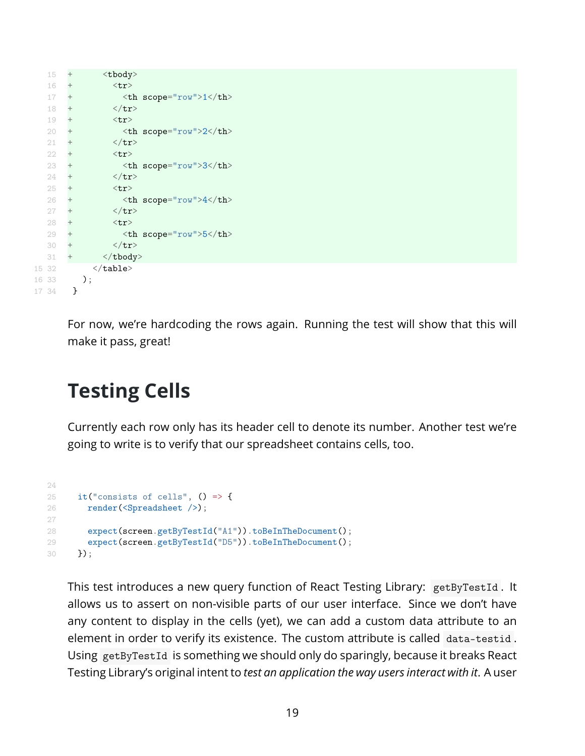| 15     | $^+$   | <tbody></tbody>              |    |
|--------|--------|------------------------------|----|
| 16     | $^{+}$ | $<$ tr>                      |    |
| 17     | $^{+}$ | $>1$                         | >1 |
| 18     | $^{+}$ | $\langle$ /tr>               |    |
| 19     | $^{+}$ | $<$ tr $>$                   |    |
| 20     | $^{+}$ | $ scope="row">>2~th\text{>}$ |    |
| 21     | $^{+}$ | $\langle$ /tr>               |    |
| $22 -$ | $^{+}$ | $<$ tr>                      |    |
| 23     | $^{+}$ | <th scope="row">3</th>       | 3  |
| 24     | $^{+}$ | $\langle$ /tr>               |    |
| 25     | $^{+}$ | $<$ tr>                      |    |
| 26     | $^{+}$ | $ scope="row">4$             |    |
| 27     | $\, +$ | $\langle$ /tr>               |    |
| 28     | $^{+}$ | $<$ tr>                      |    |
| 29     | $\, +$ | $ scope="row">5$             |    |
| 30     | $^{+}$ | $\langle$ /tr>               |    |
| 31     | $^{+}$ | $\langle$ tbody>             |    |
| 15 32  |        | $\langle$ table>             |    |
| 16 33  |        | );                           |    |
| 17 34  | ł      |                              |    |

For now, we're hardcoding the rows again. Running the test will show that this will make it pass, great!

## **Testing Cells**

Currently each row only has its header cell to denote its number. Another test we're going to write is to verify that our spreadsheet contains cells, too.

```
24
25 it ("consists of cells", () \Rightarrow {
26 render(<Spreadsheet />);
27
28 expect(screen.getByTestId("A1")).toBeInTheDocument();
29 expect(screen.getByTestId("D5")).toBeInTheDocument();
30 });
```
This test introduces a new query function of React Testing Library: getByTestId . It allows us to assert on non-visible parts of our user interface. Since we don't have any content to display in the cells (yet), we can add a custom data attribute to an element in order to verify its existence. The custom attribute is called data-testid . Using getByTestId is something we should only do sparingly, because it breaks React Testing Library's original intent to *test an application the way users interact with it*. A user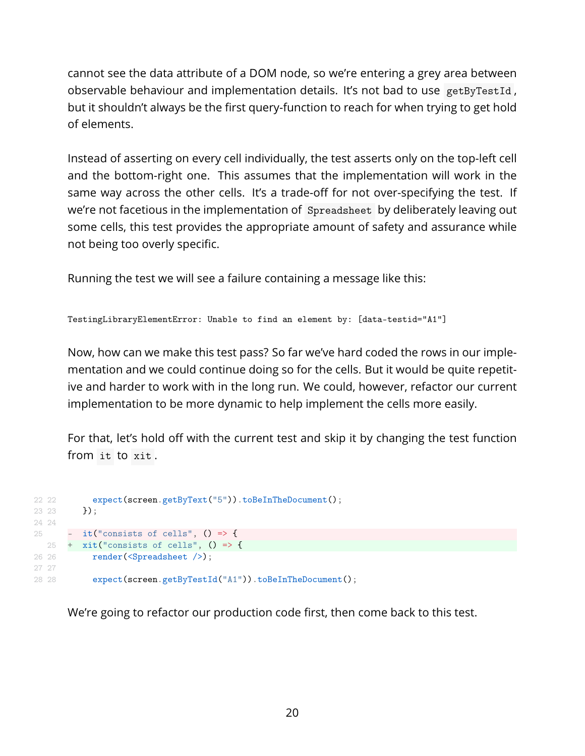cannot see the data attribute of a DOM node, so we're entering a grey area between observable behaviour and implementation details. It's not bad to use getByTestId , but it shouldn't always be the first query-function to reach for when trying to get hold of elements.

Instead of asserting on every cell individually, the test asserts only on the top-left cell and the bottom-right one. This assumes that the implementation will work in the same way across the other cells. It's a trade-off for not over-specifying the test. If we're not facetious in the implementation of Spreadsheet by deliberately leaving out some cells, this test provides the appropriate amount of safety and assurance while not being too overly specific.

Running the test we will see a failure containing a message like this:

```
TestingLibraryElementError: Unable to find an element by: [data-testid="A1"]
```
Now, how can we make this test pass? So far we've hard coded the rows in our implementation and we could continue doing so for the cells. But it would be quite repetitive and harder to work with in the long run. We could, however, refactor our current implementation to be more dynamic to help implement the cells more easily.

For that, let's hold off with the current test and skip it by changing the test function from it to xit .

```
22 22 expect(screen.getByText("5")).toBeInTheDocument();
23 \t 23 \t  });
24 24
25 - it ("consists of cells", () \Rightarrow {
  25 + xit("consists of cells", () => {
26 26 render(<Spreadsheet />);
27 27
28 28 expect(screen.getByTestId("A1")).toBeInTheDocument();
```
We're going to refactor our production code first, then come back to this test.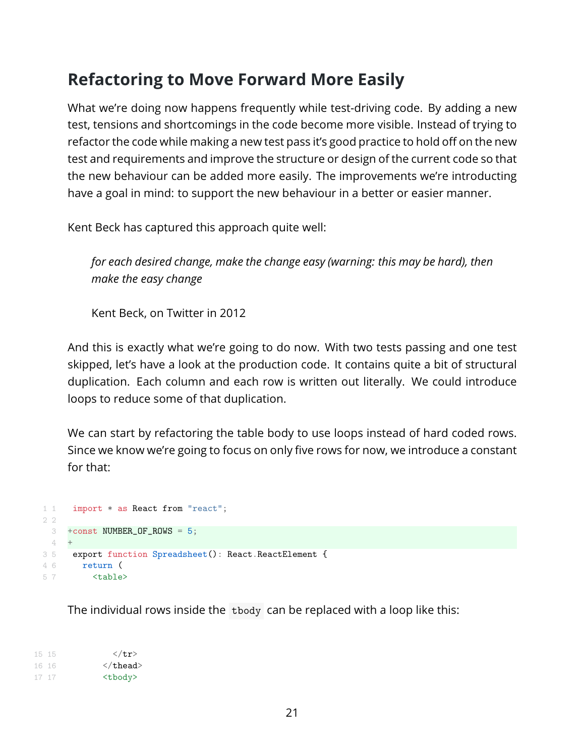#### **Refactoring to Move Forward More Easily**

What we're doing now happens frequently while test-driving code. By adding a new test, tensions and shortcomings in the code become more visible. Instead of trying to refactor the code while making a new test pass it's good practice to hold off on the new test and requirements and improve the structure or design of the current code so that the new behaviour can be added more easily. The improvements we're introducting have a goal in mind: to support the new behaviour in a better or easier manner.

Kent Beck has captured this approach quite well:

*for each desired change, make the change easy (warning: this may be hard), then make the easy change*

Kent Beck, [on Twitter in 2012](https://twitter.com/KentBeck/status/250733358307500032)

And this is exactly what we're going to do now. With two tests passing and one test skipped, let's have a look at the production code. It contains quite a bit of structural duplication. Each column and each row is written out literally. We could introduce loops to reduce some of that duplication.

We can start by refactoring the table body to use loops instead of hard coded rows. Since we know we're going to focus on only five rows for now, we introduce a constant for that:

```
1 1 import * as React from "react";
2 2
 3 +const NUMBER_OF_ROWS = 5;
 4 +3 5 export function Spreadsheet(): React.ReactElement {
4 6 return (
5 7 <table>
```
The individual rows inside the tbody can be replaced with a loop like this:

15 15  $\langle \text{tr} \rangle$ 16 16 </thead> 17 17 <tbody>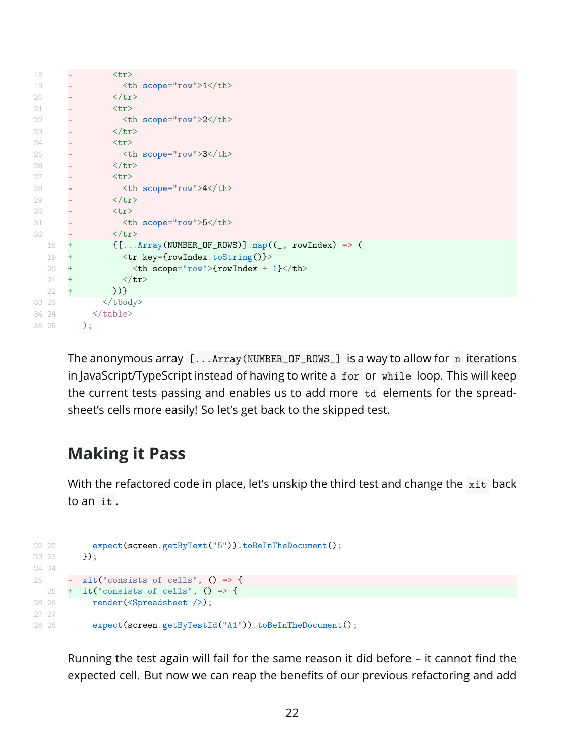```
18 - <tr>
19 - <th scope="row">1</th>
20 - </tr>
21 - <tr>
22 - <th scope="row">2</th>
23 - \langle/tr>
24 - <tr>
25 - <th scope="row">3</th>
25 - \lt th<br>26 - \lt /tr27 - \langle \text{tr} \rangle28 - <th scope="row">4</th>
28 - \tan 29<br>29 - \tan 2930 - <tr>
31 - <th scope="row">5</th>
32 - \frac{1}{\sqrt{tr}}18 + {[...Array(NUMBER_OF_ROWS)].map((_, rowIndex) => (
  19 + \langle \text{tr key=} \{\text{rowIndex.toString()}\} \rangle20 + $\langle \texttt{th scope="row"}>\{\texttt{rowIndex} + 1\}\langle \texttt{th}\rangle$21 + \langle tr \rangle22 + )33 23 </tbody>
34 24 </table>
35 25 );
```
The anonymous array  $[...Array(NUMBER_OR_SWS_])$  is a way to allow for n iterations in JavaScript/TypeScript instead of having to write a for or while loop. This will keep the current tests passing and enables us to add more td elements for the spreadsheet's cells more easily! So let's get back to the skipped test.

#### **Making it Pass**

With the refactored code in place, let's unskip the third test and change the xit back to an it .

```
22 22 expect(screen.getByText("5")).toBeInTheDocument();
23 });
24 24
25 - \mathrm{xit}("consists of cells", () \Rightarrow25 + it ("consists of cells", () => {
26 26 render(<Spreadsheet />);
27 27
28 28 expect(screen.getByTestId("A1")).toBeInTheDocument();
```
Running the test again will fail for the same reason it did before  $-$  it cannot find the expected cell. But now we can reap the benefits of our previous refactoring and add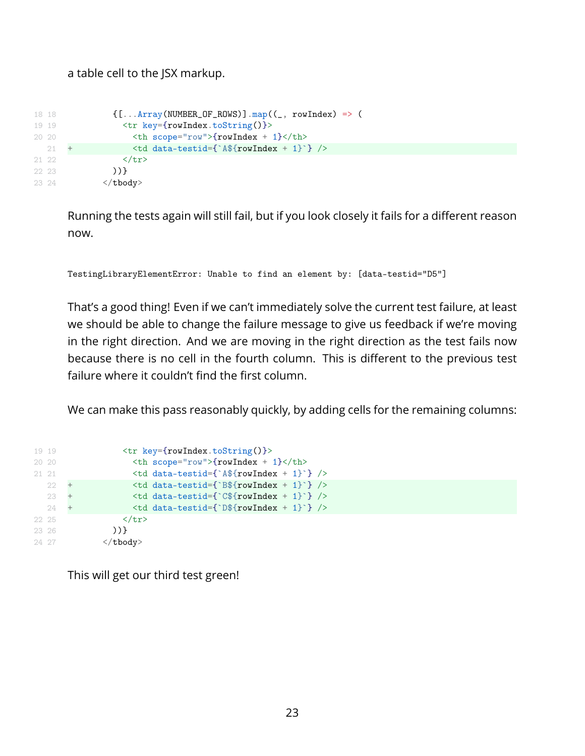#### a table cell to the JSX markup.

```
18 18 <br>([...Array(NUMBER_OF_ROWS)].map((_, rowIndex) => (
19 19 <tr key={rowIndex.toString()}>
20 20 \textrm{th scope="row">\n{rowIndex + 1} </th21 + \left\{\text{td data-test}:\text{d}^*\text{for }x + 1\right\} />
21 22 </tr>
22 23 ))}
23 24 </tbody>
```
Running the tests again will still fail, but if you look closely it fails for a different reason now.

```
TestingLibraryElementError: Unable to find an element by: [data-testid="D5"]
```
That's a good thing! Even if we can't immediately solve the current test failure, at least we should be able to change the failure message to give us feedback if we're moving in the right direction. And we are moving in the right direction as the test fails now because there is no cell in the fourth column. This is different to the previous test failure where it couldn't find the first column.

We can make this pass reasonably quickly, by adding cells for the remaining columns:

| 19 19  |       |     | $\langle \text{tr key=}$ {rowIndex.toString()}> |
|--------|-------|-----|-------------------------------------------------|
| 20, 20 |       |     | $th scope="row" > {rowIndex + 1} /th$           |
| 21 21  |       |     | $\lt t d$ data-testid={`A\${rowIndex + 1}`} />  |
|        | 22    | $+$ | $\lt t d$ data-testid={`B\${rowIndex + 1}`} />  |
|        | 23    |     | $\lt t d$ data-testid={`C\${rowIndex + 1}`} />  |
|        | 24    | $+$ | $\lt t d$ data-testid={`D\${rowIndex + 1}`} />  |
|        | 22 25 |     | $\langle$ /tr>                                  |
| 23 26  |       |     | $)$ }                                           |
| 24 27  |       |     | $\langle$ tbody>                                |

This will get our third test green!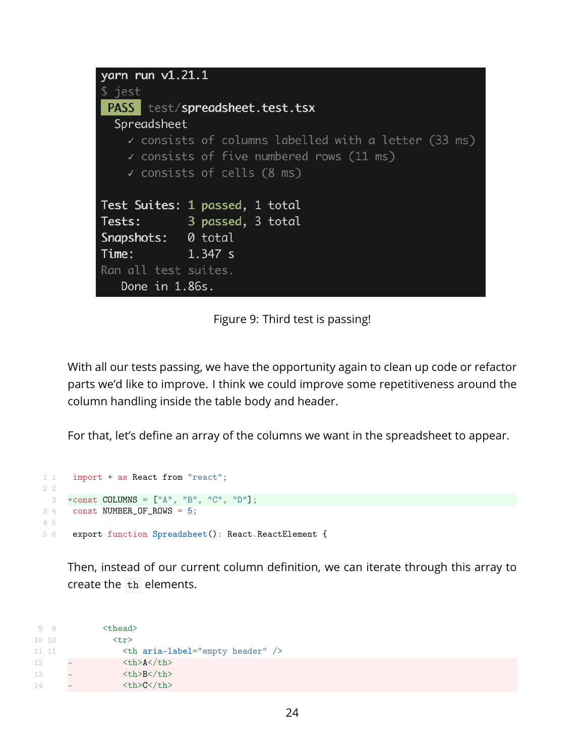| yarn run $v1.21.1$   |                                                                 |
|----------------------|-----------------------------------------------------------------|
| $$$ jest             |                                                                 |
|                      | <b>PASS</b> test/spreadsheet.test.tsx                           |
| Spreadsheet          |                                                                 |
|                      | $\checkmark$ consists of columns labelled with a letter (33 ms) |
|                      | $\checkmark$ consists of five numbered rows (11 ms)             |
|                      | $\checkmark$ consists of cells (8 ms)                           |
|                      |                                                                 |
|                      | Test Suites: 1 passed, 1 total                                  |
| Tests:               | 3 passed, 3 total                                               |
| Snapshots: 0 total   |                                                                 |
| <b>Time:</b> 1.347 s |                                                                 |
| Ran all test suites. |                                                                 |
| Done in 1.86s.       |                                                                 |

<span id="page-24-0"></span>Figure 9: Third test is passing!

With all our tests passing, we have the opportunity again to clean up code or refactor parts we'd like to improve. I think we could improve some repetitiveness around the column handling inside the table body and header.

For that, let's define an array of the columns we want in the spreadsheet to appear.

```
1 1 import * as React from "react";
2 2
 \text{3} +const COLUMNS = ["A", "B", "C", "D"];
3 4 const NUMBER_OF_ROWS = 5;
4 5
5 6 export function Spreadsheet(): React.ReactElement {
```
Then, instead of our current column definition, we can iterate through this array to create the th elements.

```
9 9 <thead>
10 10 <tr>
11 11 <th aria-label="empty header" />
12 - <th>A</th>
13 - <th>B</th>
14 - <th>C</th>
```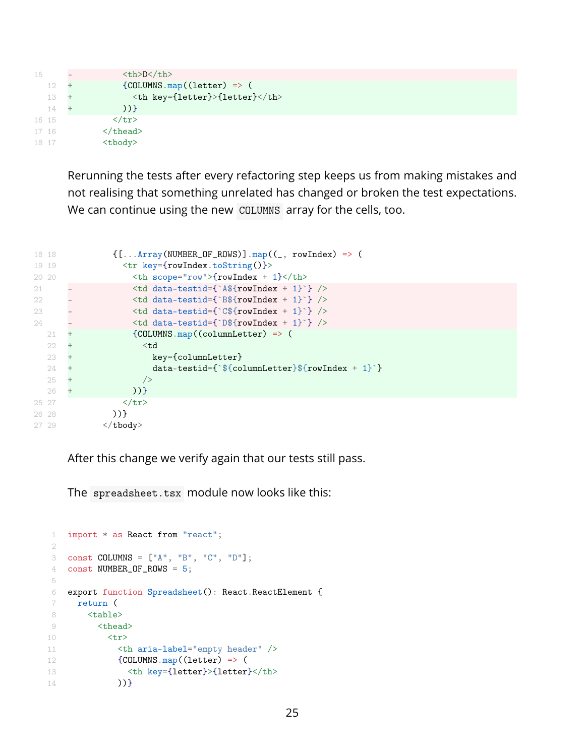```
15 - <th>D</th>
  12 + {COLUMNSmap((letter) = > (<br>
2 + {the key-matrixMatrixmatrix})13 + <th key={letter}>{letter}</th>
 14 + ))}
16 15 </tr>
17 16 </thead>
18 17 <tbody>
```
Rerunning the tests after every refactoring step keeps us from making mistakes and not realising that something unrelated has changed or broken the test expectations. We can continue using the new COLUMNS array for the cells, too.

| 18 18 |    |     | $\{[\dots Array(NUMBER_0F_ROWS)] \cdot map((\_, rowIndex) \implies (\$        |  |
|-------|----|-----|-------------------------------------------------------------------------------|--|
| 19 19 |    |     | $\langle \text{tr key=}$ {rowIndex.toString()}>                               |  |
| 20 20 |    |     | $th scope="row" > {rowIndex + 1} /th$                                         |  |
| 21    |    |     | $\lt t d$ data-testid= $\$ A\rowIndex + 1} />                                 |  |
| 22    |    |     | $\lt t d$ data-testid={`B\${rowIndex + 1}`} />                                |  |
| 23    |    |     | $\lt t d$ data-testid={`C\${rowIndex + 1}`} />                                |  |
| 24    |    |     | $\lt t d$ data-testid={`D\${rowIndex + 1}`} />                                |  |
|       | 21 | $+$ | ${COLUMNS.map} (columnLetter)$ => (                                           |  |
|       | 22 | $+$ | $<$ td                                                                        |  |
|       | 23 | $+$ | key={columnLetter}                                                            |  |
|       | 24 | $+$ | $data-testid = {\text{``\textless}}\{\text{columnLetter}\}\$ {rowIndex + 1}'} |  |
|       | 25 | $+$ | /                                                                             |  |
|       | 26 | $+$ | $)$ }                                                                         |  |
| 25 27 |    |     | $\langle$ /tr>                                                                |  |
| 26 28 |    |     | $)$ }                                                                         |  |
| 27 29 |    |     | $\langle$ tbody>                                                              |  |

After this change we verify again that our tests still pass.

The spreadsheet.tsx module now looks like this:

```
1 import * as React from "react";
2
3 const COLUMNS = ["A", "B", "C", "D"];
4 const NUMBER_OF_ROWS = 5;
5
6 export function Spreadsheet(): React.ReactElement {
7 return (
8 <table>
9 <thead>
10 <tr>
11 <th aria-label="empty header" />
12 {COLUMNS.mac((letter) => (
13 <th key={letter}>{letter}</th>
14 ))}
```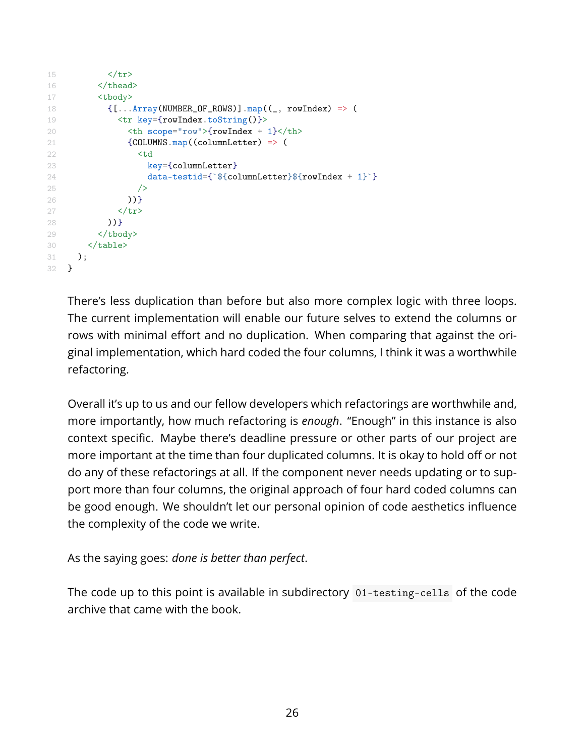```
15 </tr>
16 </thead>
17 <tbody>
18 \{[\dots \text{Array}(\text{NUMBER\_OF\_Rows})] \cdot \text{map}((\_, \text{ rowIndex}) \implies (\19 <tr key={rowIndex.toString()}>
20 <br>\n<b>20</b> <br>\n<b>21</b> <b>22</b> <b>23</b> <b>24</b> <b>25</b> <b>26</b> <b>28</b> <b>29</b> <b>29</b> <b>29</b> <b>29</b> <b>29</b> <b>29</b> <b>29</b> <b>29</b> <b>29</b> <b>29</b> <b>29</b> <b>29</b> <b>29</b> <b>29</b> <b>29</b> <b>29</b> <b>29</b> <b>29</b> <b>221 {COLUMNS.map((columnLetter) => (
22 <td
23 key={columnLetter}
24 data-testid={`${columnLetter}${rowIndex + 1}`}
25 />
26 ))}
27 </tr>
28 ))}
29 </tbody>
30 </table>
31 );
32 }
```
There's less duplication than before but also more complex logic with three loops. The current implementation will enable our future selves to extend the columns or rows with minimal effort and no duplication. When comparing that against the original implementation, which hard coded the four columns, I think it was a worthwhile refactoring.

Overall it's up to us and our fellow developers which refactorings are worthwhile and, more importantly, how much refactoring is *enough*. "Enough" in this instance is also context specific. Maybe there's deadline pressure or other parts of our project are more important at the time than four duplicated columns. It is okay to hold off or not do any of these refactorings at all. If the component never needs updating or to support more than four columns, the original approach of four hard coded columns can be good enough. We shouldn't let our personal opinion of code aesthetics influence the complexity of the code we write.

As the saying goes: *done is better than perfect*.

The code up to this point is available in subdirectory 01-testing-cells of the code archive that came with the book.